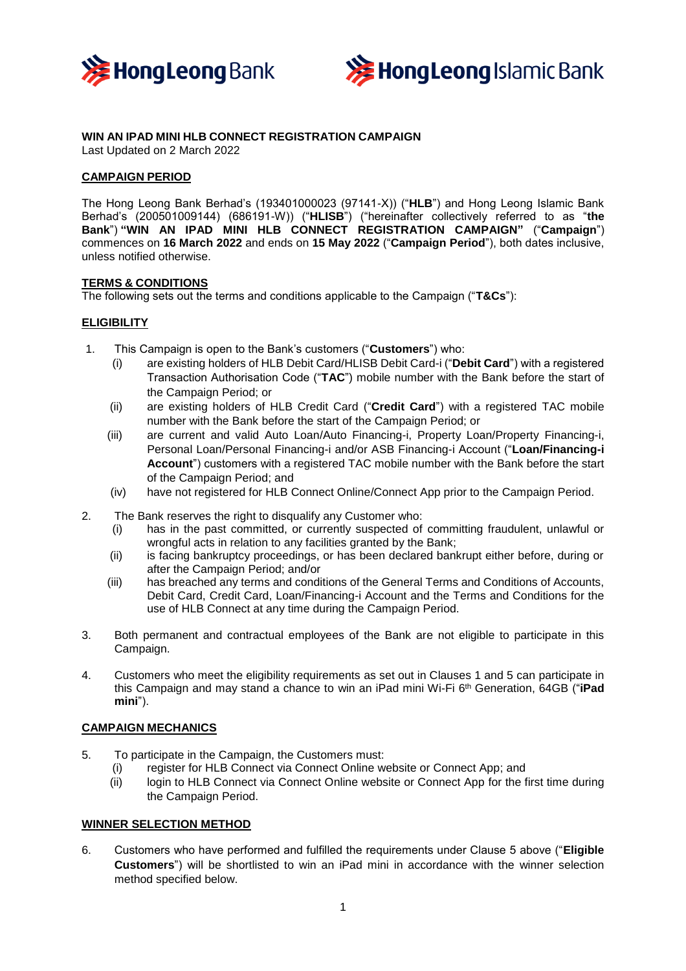



# **WIN AN IPAD MINI HLB CONNECT REGISTRATION CAMPAIGN**

Last Updated on 2 March 2022

## **CAMPAIGN PERIOD**

The Hong Leong Bank Berhad's (193401000023 (97141-X)) ("**HLB**") and Hong Leong Islamic Bank Berhad's (200501009144) (686191-W)) ("**HLISB**") ("hereinafter collectively referred to as "**the Bank**") **"WIN AN IPAD MINI HLB CONNECT REGISTRATION CAMPAIGN"** ("**Campaign**") commences on **16 March 2022** and ends on **15 May 2022** ("**Campaign Period**"), both dates inclusive, unless notified otherwise.

#### **TERMS & CONDITIONS**

The following sets out the terms and conditions applicable to the Campaign ("**T&Cs**"):

#### **ELIGIBILITY**

- 1. This Campaign is open to the Bank's customers ("**Customers**") who:
	- (i) are existing holders of HLB Debit Card/HLISB Debit Card-i ("**Debit Card**") with a registered Transaction Authorisation Code ("**TAC**") mobile number with the Bank before the start of the Campaign Period; or
	- (ii) are existing holders of HLB Credit Card ("**Credit Card**") with a registered TAC mobile number with the Bank before the start of the Campaign Period; or
	- (iii) are current and valid Auto Loan/Auto Financing-i, Property Loan/Property Financing-i, Personal Loan/Personal Financing-i and/or ASB Financing-i Account ("**Loan/Financing-i Account**") customers with a registered TAC mobile number with the Bank before the start of the Campaign Period; and
	- (iv) have not registered for HLB Connect Online/Connect App prior to the Campaign Period.
- 2. The Bank reserves the right to disqualify any Customer who:
	- (i) has in the past committed, or currently suspected of committing fraudulent, unlawful or wrongful acts in relation to any facilities granted by the Bank;
	- (ii) is facing bankruptcy proceedings, or has been declared bankrupt either before, during or after the Campaign Period; and/or
	- (iii) has breached any terms and conditions of the General Terms and Conditions of Accounts, Debit Card, Credit Card, Loan/Financing-i Account and the Terms and Conditions for the use of HLB Connect at any time during the Campaign Period.
- 3. Both permanent and contractual employees of the Bank are not eligible to participate in this Campaign.
- 4. Customers who meet the eligibility requirements as set out in Clauses 1 and 5 can participate in this Campaign and may stand a chance to win an iPad mini Wi-Fi 6 th Generation, 64GB ("**iPad mini**").

## **CAMPAIGN MECHANICS**

- 5. To participate in the Campaign, the Customers must:
	- (i) register for HLB Connect via Connect Online website or Connect App; and
	- (ii) login to HLB Connect via Connect Online website or Connect App for the first time during the Campaign Period.

#### **WINNER SELECTION METHOD**

6. Customers who have performed and fulfilled the requirements under Clause 5 above ("**Eligible Customers**") will be shortlisted to win an iPad mini in accordance with the winner selection method specified below.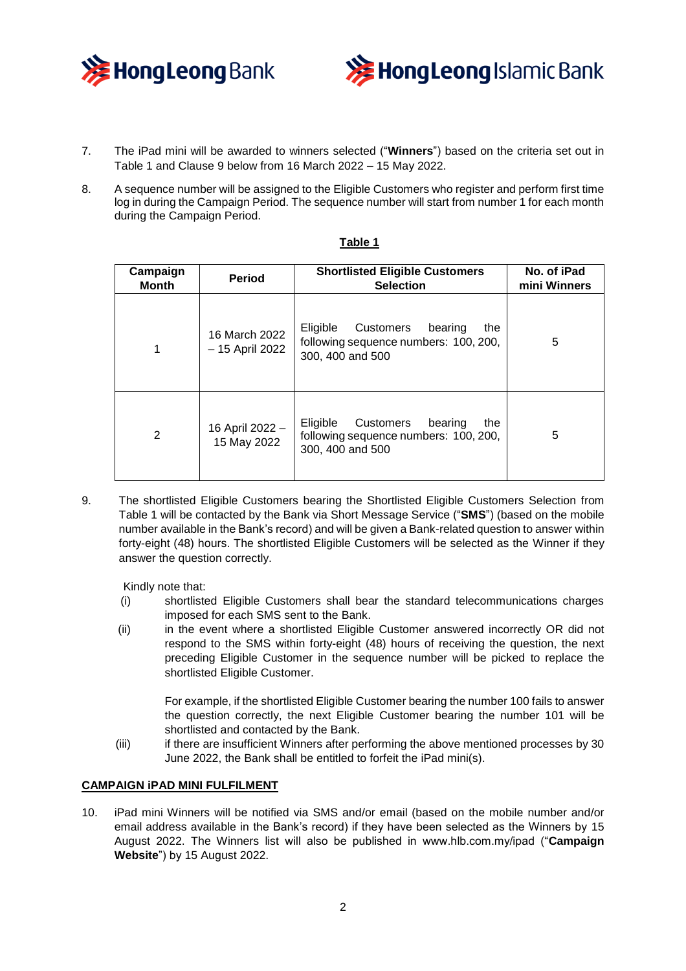



- 7. The iPad mini will be awarded to winners selected ("**Winners**") based on the criteria set out in Table 1 and Clause 9 below from 16 March 2022 – 15 May 2022.
- 8. A sequence number will be assigned to the Eligible Customers who register and perform first time log in during the Campaign Period. The sequence number will start from number 1 for each month during the Campaign Period.

| Campaign<br><b>Month</b> | <b>Period</b>                    | <b>Shortlisted Eligible Customers</b><br><b>Selection</b>                                            | No. of iPad<br>mini Winners |
|--------------------------|----------------------------------|------------------------------------------------------------------------------------------------------|-----------------------------|
| 1                        | 16 March 2022<br>- 15 April 2022 | Customers<br>Eligible<br>bearing<br>the<br>following sequence numbers: 100, 200,<br>300, 400 and 500 | 5                           |
| 2                        | 16 April 2022 -<br>15 May 2022   | Eligible<br>Customers<br>bearing<br>the<br>following sequence numbers: 100, 200,<br>300, 400 and 500 | 5                           |

#### **Table 1**

9. The shortlisted Eligible Customers bearing the Shortlisted Eligible Customers Selection from Table 1 will be contacted by the Bank via Short Message Service ("**SMS**") (based on the mobile number available in the Bank's record) and will be given a Bank-related question to answer within forty-eight (48) hours. The shortlisted Eligible Customers will be selected as the Winner if they answer the question correctly.

Kindly note that:

- (i) shortlisted Eligible Customers shall bear the standard telecommunications charges imposed for each SMS sent to the Bank.
- (ii) in the event where a shortlisted Eligible Customer answered incorrectly OR did not respond to the SMS within forty-eight (48) hours of receiving the question, the next preceding Eligible Customer in the sequence number will be picked to replace the shortlisted Eligible Customer.

For example, if the shortlisted Eligible Customer bearing the number 100 fails to answer the question correctly, the next Eligible Customer bearing the number 101 will be shortlisted and contacted by the Bank.

(iii) if there are insufficient Winners after performing the above mentioned processes by 30 June 2022, the Bank shall be entitled to forfeit the iPad mini(s).

## **CAMPAIGN iPAD MINI FULFILMENT**

10. iPad mini Winners will be notified via SMS and/or email (based on the mobile number and/or email address available in the Bank's record) if they have been selected as the Winners by 15 August 2022. The Winners list will also be published in www.hlb.com.my/ipad ("**Campaign Website**") by 15 August 2022.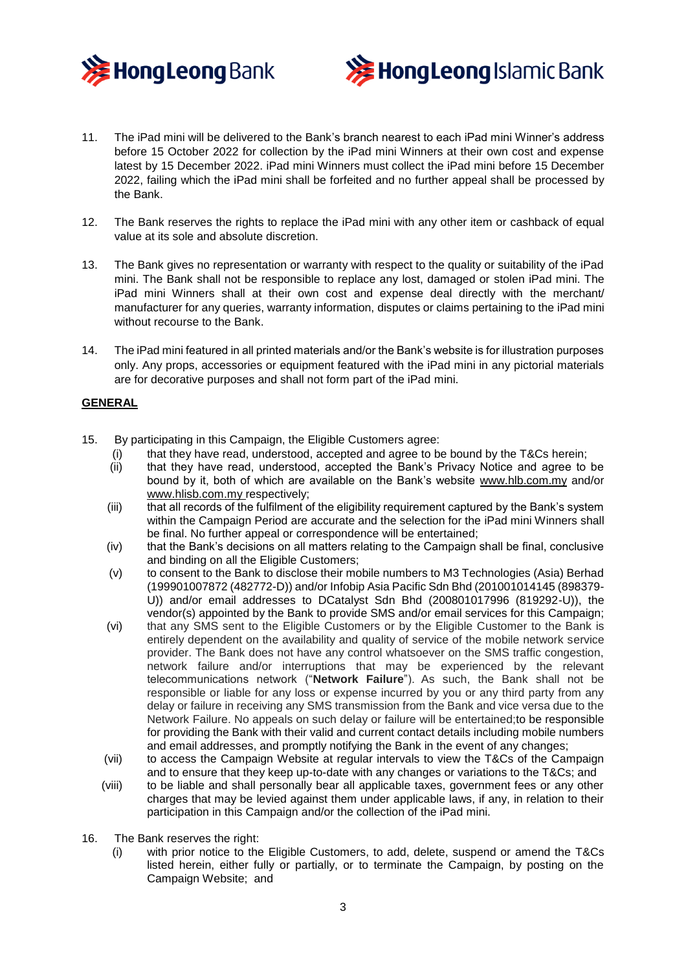



- 11. The iPad mini will be delivered to the Bank's branch nearest to each iPad mini Winner's address before 15 October 2022 for collection by the iPad mini Winners at their own cost and expense latest by 15 December 2022. iPad mini Winners must collect the iPad mini before 15 December 2022, failing which the iPad mini shall be forfeited and no further appeal shall be processed by the Bank.
- 12. The Bank reserves the rights to replace the iPad mini with any other item or cashback of equal value at its sole and absolute discretion.
- 13. The Bank gives no representation or warranty with respect to the quality or suitability of the iPad mini. The Bank shall not be responsible to replace any lost, damaged or stolen iPad mini. The iPad mini Winners shall at their own cost and expense deal directly with the merchant/ manufacturer for any queries, warranty information, disputes or claims pertaining to the iPad mini without recourse to the Bank.
- 14. The iPad mini featured in all printed materials and/or the Bank's website is for illustration purposes only. Any props, accessories or equipment featured with the iPad mini in any pictorial materials are for decorative purposes and shall not form part of the iPad mini.

## **GENERAL**

- 15. By participating in this Campaign, the Eligible Customers agree:
	- (i) that they have read, understood, accepted and agree to be bound by the T&Cs herein;
	- (ii) that they have read, understood, accepted the Bank's Privacy Notice and agree to be bound by it, both of which are available on the Bank's website [www.hlb.com.my](http://www.hlb.com.my/) and/or [www.hlisb.com.my](http://www.hlisb.com.my/) respectively;
	- (iii) that all records of the fulfilment of the eligibility requirement captured by the Bank's system within the Campaign Period are accurate and the selection for the iPad mini Winners shall be final. No further appeal or correspondence will be entertained;
	- (iv) that the Bank's decisions on all matters relating to the Campaign shall be final, conclusive and binding on all the Eligible Customers;
	- (v) to consent to the Bank to disclose their mobile numbers to M3 Technologies (Asia) Berhad (199901007872 (482772-D)) and/or Infobip Asia Pacific Sdn Bhd (201001014145 (898379- U)) and/or email addresses to DCatalyst Sdn Bhd (200801017996 (819292-U)), the vendor(s) appointed by the Bank to provide SMS and/or email services for this Campaign;
	- (vi) that any SMS sent to the Eligible Customers or by the Eligible Customer to the Bank is entirely dependent on the availability and quality of service of the mobile network service provider. The Bank does not have any control whatsoever on the SMS traffic congestion, network failure and/or interruptions that may be experienced by the relevant telecommunications network ("**Network Failure**"). As such, the Bank shall not be responsible or liable for any loss or expense incurred by you or any third party from any delay or failure in receiving any SMS transmission from the Bank and vice versa due to the Network Failure. No appeals on such delay or failure will be entertained;to be responsible for providing the Bank with their valid and current contact details including mobile numbers and email addresses, and promptly notifying the Bank in the event of any changes;
	- (vii) to access the Campaign Website at regular intervals to view the T&Cs of the Campaign and to ensure that they keep up-to-date with any changes or variations to the T&Cs; and
	- (viii) to be liable and shall personally bear all applicable taxes, government fees or any other charges that may be levied against them under applicable laws, if any, in relation to their participation in this Campaign and/or the collection of the iPad mini.
- 16. The Bank reserves the right:
	- (i) with prior notice to the Eligible Customers, to add, delete, suspend or amend the T&Cs listed herein, either fully or partially, or to terminate the Campaign, by posting on the Campaign Website; and